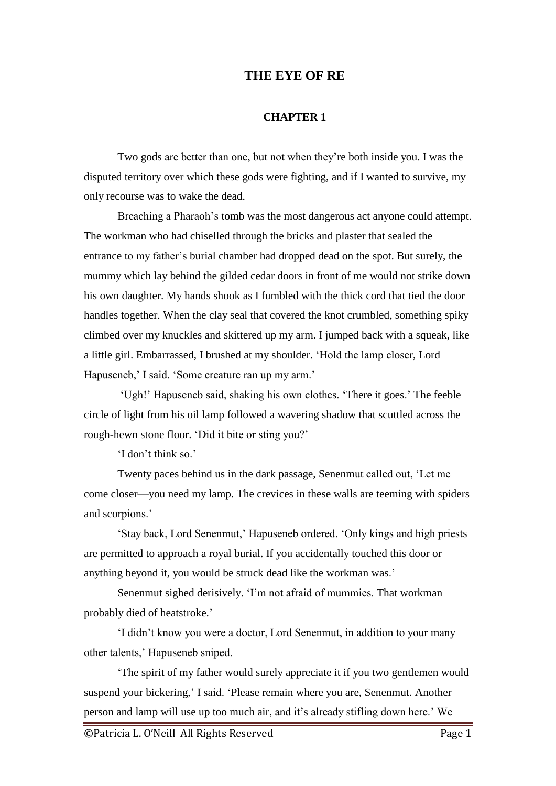## **THE EYE OF RE**

## **CHAPTER 1**

Two gods are better than one, but not when they're both inside you. I was the disputed territory over which these gods were fighting, and if I wanted to survive, my only recourse was to wake the dead.

Breaching a Pharaoh's tomb was the most dangerous act anyone could attempt. The workman who had chiselled through the bricks and plaster that sealed the entrance to my father's burial chamber had dropped dead on the spot. But surely, the mummy which lay behind the gilded cedar doors in front of me would not strike down his own daughter. My hands shook as I fumbled with the thick cord that tied the door handles together. When the clay seal that covered the knot crumbled, something spiky climbed over my knuckles and skittered up my arm. I jumped back with a squeak, like a little girl. Embarrassed, I brushed at my shoulder. 'Hold the lamp closer, Lord Hapuseneb,' I said. 'Some creature ran up my arm.'

'Ugh!' Hapuseneb said, shaking his own clothes. 'There it goes.' The feeble circle of light from his oil lamp followed a wavering shadow that scuttled across the rough-hewn stone floor. 'Did it bite or sting you?'

'I don't think so.'

Twenty paces behind us in the dark passage, Senenmut called out, 'Let me come closer—you need my lamp. The crevices in these walls are teeming with spiders and scorpions.'

'Stay back, Lord Senenmut,' Hapuseneb ordered. 'Only kings and high priests are permitted to approach a royal burial. If you accidentally touched this door or anything beyond it, you would be struck dead like the workman was.'

Senenmut sighed derisively. 'I'm not afraid of mummies. That workman probably died of heatstroke.'

'I didn't know you were a doctor, Lord Senenmut, in addition to your many other talents,' Hapuseneb sniped.

'The spirit of my father would surely appreciate it if you two gentlemen would suspend your bickering,' I said. 'Please remain where you are, Senenmut. Another person and lamp will use up too much air, and it's already stifling down here.' We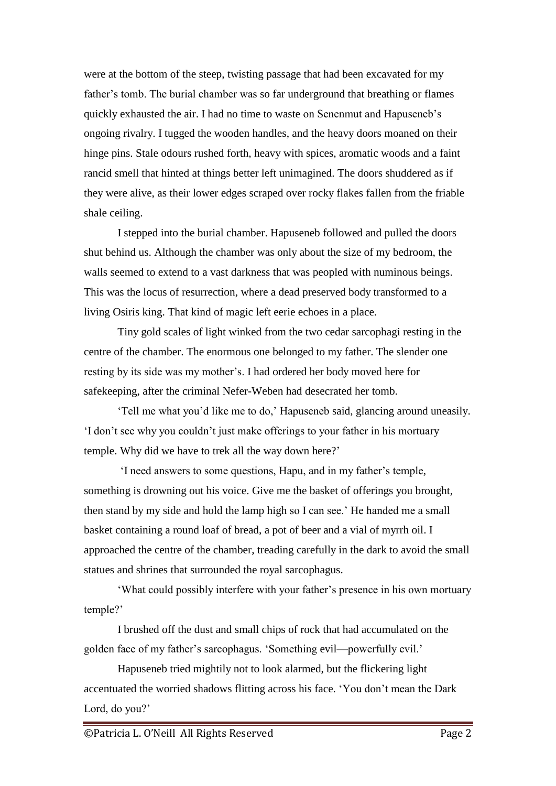were at the bottom of the steep, twisting passage that had been excavated for my father's tomb. The burial chamber was so far underground that breathing or flames quickly exhausted the air. I had no time to waste on Senenmut and Hapuseneb's ongoing rivalry. I tugged the wooden handles, and the heavy doors moaned on their hinge pins. Stale odours rushed forth, heavy with spices, aromatic woods and a faint rancid smell that hinted at things better left unimagined. The doors shuddered as if they were alive, as their lower edges scraped over rocky flakes fallen from the friable shale ceiling.

I stepped into the burial chamber. Hapuseneb followed and pulled the doors shut behind us. Although the chamber was only about the size of my bedroom, the walls seemed to extend to a vast darkness that was peopled with numinous beings. This was the locus of resurrection, where a dead preserved body transformed to a living Osiris king. That kind of magic left eerie echoes in a place.

Tiny gold scales of light winked from the two cedar sarcophagi resting in the centre of the chamber. The enormous one belonged to my father. The slender one resting by its side was my mother's. I had ordered her body moved here for safekeeping, after the criminal Nefer-Weben had desecrated her tomb.

'Tell me what you'd like me to do,' Hapuseneb said, glancing around uneasily. 'I don't see why you couldn't just make offerings to your father in his mortuary temple. Why did we have to trek all the way down here?'

'I need answers to some questions, Hapu, and in my father's temple, something is drowning out his voice. Give me the basket of offerings you brought, then stand by my side and hold the lamp high so I can see.' He handed me a small basket containing a round loaf of bread, a pot of beer and a vial of myrrh oil. I approached the centre of the chamber, treading carefully in the dark to avoid the small statues and shrines that surrounded the royal sarcophagus.

'What could possibly interfere with your father's presence in his own mortuary temple?'

I brushed off the dust and small chips of rock that had accumulated on the golden face of my father's sarcophagus. 'Something evil—powerfully evil.'

Hapuseneb tried mightily not to look alarmed, but the flickering light accentuated the worried shadows flitting across his face. 'You don't mean the Dark Lord, do you?'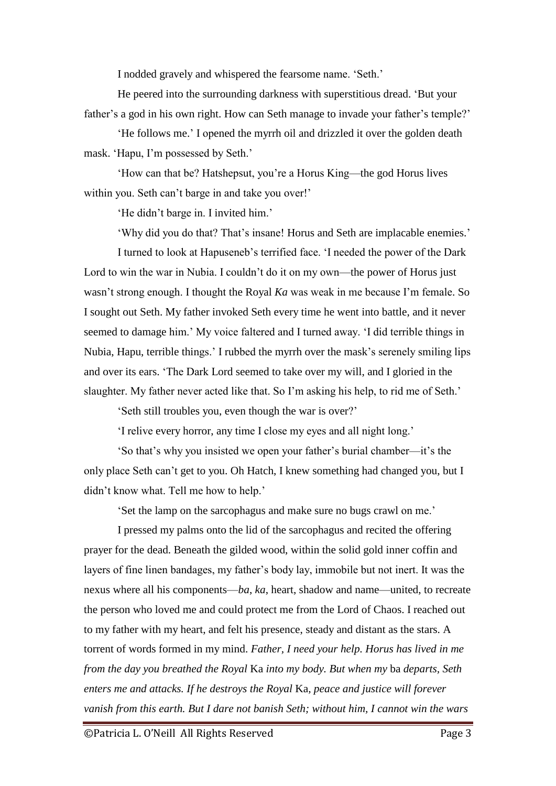I nodded gravely and whispered the fearsome name. 'Seth.'

He peered into the surrounding darkness with superstitious dread. 'But your father's a god in his own right. How can Seth manage to invade your father's temple?'

'He follows me.' I opened the myrrh oil and drizzled it over the golden death mask. 'Hapu, I'm possessed by Seth.'

'How can that be? Hatshepsut, you're a Horus King—the god Horus lives within you. Seth can't barge in and take you over!'

'He didn't barge in. I invited him.'

'Why did you do that? That's insane! Horus and Seth are implacable enemies.'

I turned to look at Hapuseneb's terrified face. 'I needed the power of the Dark Lord to win the war in Nubia. I couldn't do it on my own—the power of Horus just wasn't strong enough. I thought the Royal *Ka* was weak in me because I'm female. So I sought out Seth. My father invoked Seth every time he went into battle, and it never seemed to damage him.' My voice faltered and I turned away. 'I did terrible things in Nubia, Hapu, terrible things.' I rubbed the myrrh over the mask's serenely smiling lips and over its ears. 'The Dark Lord seemed to take over my will, and I gloried in the slaughter. My father never acted like that. So I'm asking his help, to rid me of Seth.'

'Seth still troubles you, even though the war is over?'

'I relive every horror, any time I close my eyes and all night long.'

'So that's why you insisted we open your father's burial chamber—it's the only place Seth can't get to you. Oh Hatch, I knew something had changed you, but I didn't know what. Tell me how to help.'

'Set the lamp on the sarcophagus and make sure no bugs crawl on me.'

I pressed my palms onto the lid of the sarcophagus and recited the offering prayer for the dead. Beneath the gilded wood, within the solid gold inner coffin and layers of fine linen bandages, my father's body lay, immobile but not inert. It was the nexus where all his components—*ba*, *ka*, heart, shadow and name—united, to recreate the person who loved me and could protect me from the Lord of Chaos. I reached out to my father with my heart, and felt his presence, steady and distant as the stars. A torrent of words formed in my mind. *Father, I need your help. Horus has lived in me from the day you breathed the Royal* Ka *into my body. But when my* ba *departs, Seth enters me and attacks. If he destroys the Royal* Ka*, peace and justice will forever vanish from this earth. But I dare not banish Seth; without him, I cannot win the wars*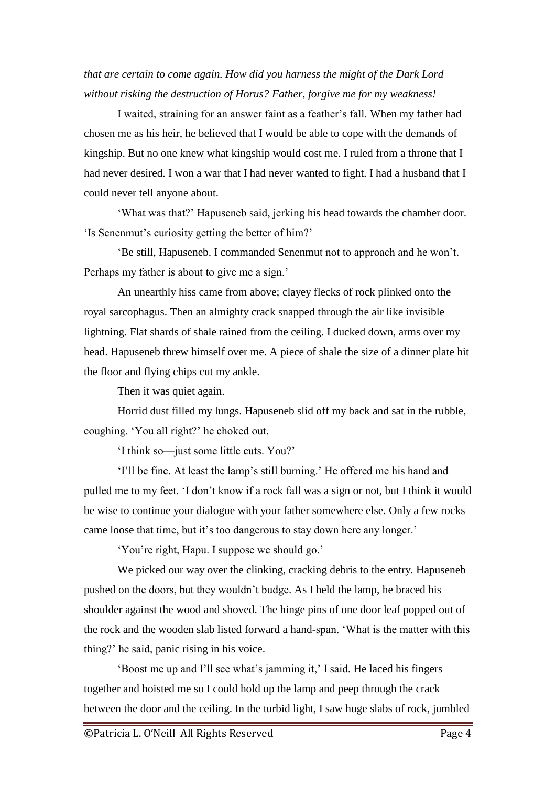## *that are certain to come again. How did you harness the might of the Dark Lord without risking the destruction of Horus? Father, forgive me for my weakness!*

I waited, straining for an answer faint as a feather's fall. When my father had chosen me as his heir, he believed that I would be able to cope with the demands of kingship. But no one knew what kingship would cost me. I ruled from a throne that I had never desired. I won a war that I had never wanted to fight. I had a husband that I could never tell anyone about.

'What was that?' Hapuseneb said, jerking his head towards the chamber door. 'Is Senenmut's curiosity getting the better of him?'

'Be still, Hapuseneb. I commanded Senenmut not to approach and he won't. Perhaps my father is about to give me a sign.'

An unearthly hiss came from above; clayey flecks of rock plinked onto the royal sarcophagus. Then an almighty crack snapped through the air like invisible lightning. Flat shards of shale rained from the ceiling. I ducked down, arms over my head. Hapuseneb threw himself over me. A piece of shale the size of a dinner plate hit the floor and flying chips cut my ankle.

Then it was quiet again.

Horrid dust filled my lungs. Hapuseneb slid off my back and sat in the rubble, coughing. 'You all right?' he choked out.

'I think so—just some little cuts. You?'

'I'll be fine. At least the lamp's still burning.' He offered me his hand and pulled me to my feet. 'I don't know if a rock fall was a sign or not, but I think it would be wise to continue your dialogue with your father somewhere else. Only a few rocks came loose that time, but it's too dangerous to stay down here any longer.'

'You're right, Hapu. I suppose we should go.'

We picked our way over the clinking, cracking debris to the entry. Hapuseneb pushed on the doors, but they wouldn't budge. As I held the lamp, he braced his shoulder against the wood and shoved. The hinge pins of one door leaf popped out of the rock and the wooden slab listed forward a hand-span. 'What is the matter with this thing?' he said, panic rising in his voice.

'Boost me up and I'll see what's jamming it,' I said. He laced his fingers together and hoisted me so I could hold up the lamp and peep through the crack between the door and the ceiling. In the turbid light, I saw huge slabs of rock, jumbled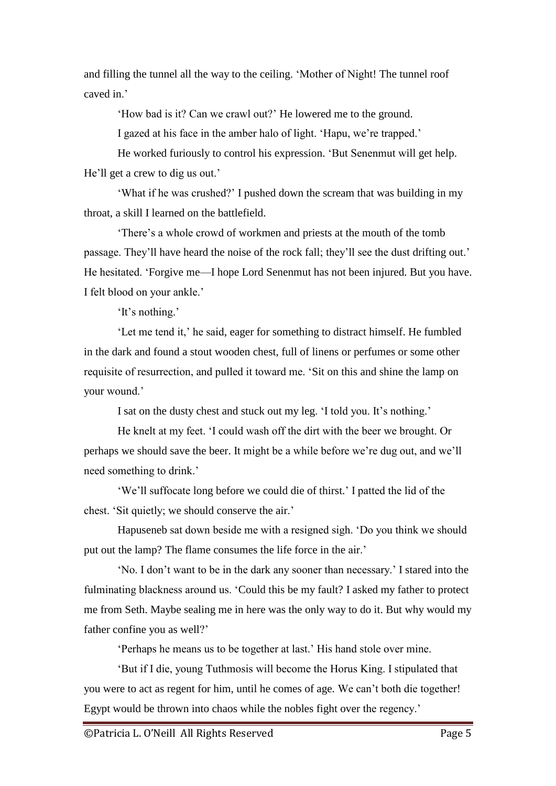and filling the tunnel all the way to the ceiling. 'Mother of Night! The tunnel roof caved in.'

'How bad is it? Can we crawl out?' He lowered me to the ground.

I gazed at his face in the amber halo of light. 'Hapu, we're trapped.'

He worked furiously to control his expression. 'But Senenmut will get help. He'll get a crew to dig us out.'

'What if he was crushed?' I pushed down the scream that was building in my throat, a skill I learned on the battlefield.

'There's a whole crowd of workmen and priests at the mouth of the tomb passage. They'll have heard the noise of the rock fall; they'll see the dust drifting out.' He hesitated. 'Forgive me—I hope Lord Senenmut has not been injured. But you have. I felt blood on your ankle.'

'It's nothing.'

'Let me tend it,' he said, eager for something to distract himself. He fumbled in the dark and found a stout wooden chest, full of linens or perfumes or some other requisite of resurrection, and pulled it toward me. 'Sit on this and shine the lamp on your wound.'

I sat on the dusty chest and stuck out my leg. 'I told you. It's nothing.'

He knelt at my feet. 'I could wash off the dirt with the beer we brought. Or perhaps we should save the beer. It might be a while before we're dug out, and we'll need something to drink.'

'We'll suffocate long before we could die of thirst.' I patted the lid of the chest. 'Sit quietly; we should conserve the air.'

Hapuseneb sat down beside me with a resigned sigh. 'Do you think we should put out the lamp? The flame consumes the life force in the air.'

'No. I don't want to be in the dark any sooner than necessary.' I stared into the fulminating blackness around us. 'Could this be my fault? I asked my father to protect me from Seth. Maybe sealing me in here was the only way to do it. But why would my father confine you as well?'

'Perhaps he means us to be together at last.' His hand stole over mine.

'But if I die, young Tuthmosis will become the Horus King. I stipulated that you were to act as regent for him, until he comes of age. We can't both die together! Egypt would be thrown into chaos while the nobles fight over the regency.'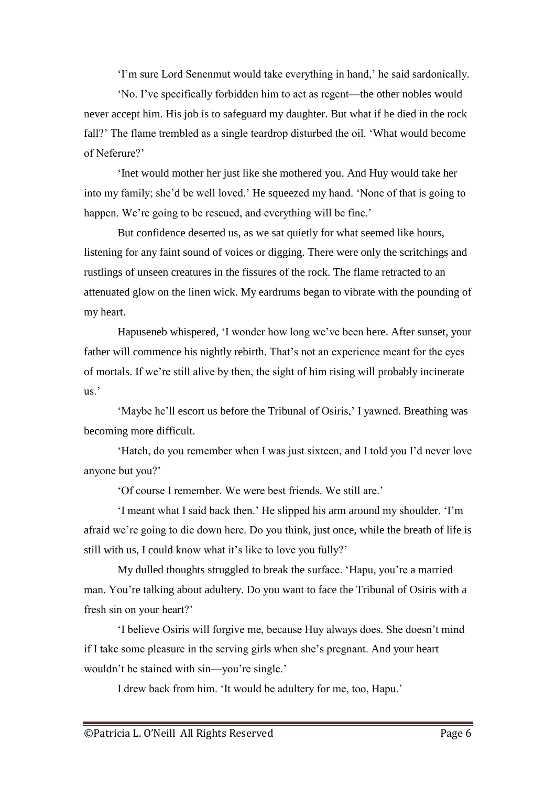'I'm sure Lord Senenmut would take everything in hand,' he said sardonically.

'No. I've specifically forbidden him to act as regent—the other nobles would never accept him. His job is to safeguard my daughter. But what if he died in the rock fall?' The flame trembled as a single teardrop disturbed the oil. 'What would become of Neferure?'

'Inet would mother her just like she mothered you. And Huy would take her into my family; she'd be well loved.' He squeezed my hand. 'None of that is going to happen. We're going to be rescued, and everything will be fine.'

But confidence deserted us, as we sat quietly for what seemed like hours, listening for any faint sound of voices or digging. There were only the scritchings and rustlings of unseen creatures in the fissures of the rock. The flame retracted to an attenuated glow on the linen wick. My eardrums began to vibrate with the pounding of my heart.

Hapuseneb whispered, 'I wonder how long we've been here. After sunset, your father will commence his nightly rebirth. That's not an experience meant for the eyes of mortals. If we're still alive by then, the sight of him rising will probably incinerate  $\overline{\text{us}}$ .

'Maybe he'll escort us before the Tribunal of Osiris,' I yawned. Breathing was becoming more difficult.

'Hatch, do you remember when I was just sixteen, and I told you I'd never love anyone but you?'

'Of course I remember. We were best friends. We still are.'

'I meant what I said back then.' He slipped his arm around my shoulder. 'I'm afraid we're going to die down here. Do you think, just once, while the breath of life is still with us, I could know what it's like to love you fully?'

My dulled thoughts struggled to break the surface. 'Hapu, you're a married man. You're talking about adultery. Do you want to face the Tribunal of Osiris with a fresh sin on your heart?'

'I believe Osiris will forgive me, because Huy always does. She doesn't mind if I take some pleasure in the serving girls when she's pregnant. And your heart wouldn't be stained with sin—you're single.'

I drew back from him. 'It would be adultery for me, too, Hapu.'